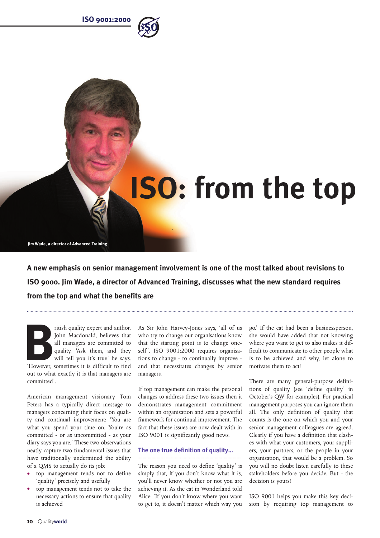



**A new emphasis on senior management involvement is one of the most talked about revisions to ISO 9000. Jim Wade, a director of Advanced Training, discusses what the new standard requires from the top and what the benefits are**

Fitish quality expert and author,<br>
John Macdonald, believes that<br>
all managers are committed to<br>
quality. 'Ask them, and they<br>
will tell you it's true' he says. John Macdonald, believes that all managers are committed to quality. 'Ask them, and they will tell you it's true' he says. 'However, sometimes it is difficult to find out to what exactly it is that managers are committed'.

American management visionary Tom Peters has a typically direct message to managers concerning their focus on quality and continual improvement: 'You are what you spend your time on. You're as committed - or as uncommitted - as your diary says you are.' These two observations neatly capture two fundamental issues that have traditionally undermined the ability of a QMS to actually do its job:

- **•** top management tends not to define 'quality' precisely and usefully
- **•** top management tends not to take the necessary actions to ensure that quality is achieved

As Sir John Harvey-Jones says, 'all of us who try to change our organisations know that the starting point is to change oneself'. ISO 9001:2000 requires organisations to change - to continually improve and that necessitates changes by senior managers.

If top management can make the personal changes to address these two issues then it demonstrates management commitment within an organisation and sets a powerful framework for continual improvement. The fact that these issues are now dealt with in ISO 9001 is significantly good news.

# **The one true definition of quality…**

The reason you need to define 'quality' is simply that, if you don't know what it is, you'll never know whether or not you are achieving it. As the cat in Wonderland told Alice: 'If you don't know where you want to get to, it doesn't matter which way you go.' If the cat had been a businessperson, she would have added that not knowing where you want to get to also makes it difficult to communicate to other people what is to be achieved and why, let alone to motivate them to act!

There are many general-purpose definitions of quality (see 'define quality' in October's QW for examples). For practical management purposes you can ignore them all. The only definition of quality that counts is the one on which you and your senior management colleagues are agreed. Clearly if you have a definition that clashes with what your customers, your suppliers, your partners, or the people in your organisation, that would be a problem. So you will no doubt listen carefully to these stakeholders before you decide. But - the decision is yours!

ISO 9001 helps you make this key decision by requiring top management to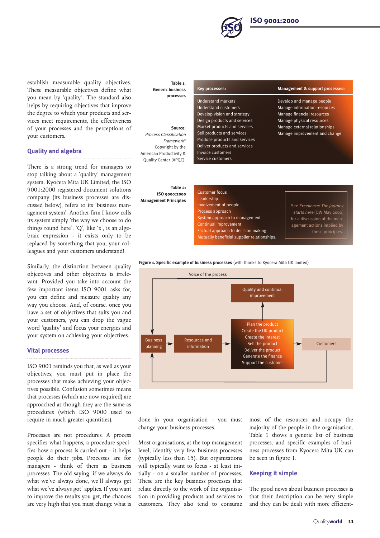

establish measurable quality objectives. These measurable objectives define what you mean by 'quality'. The standard also helps by requiring objectives that improve the degree to which your products and services meet requirements, the effectiveness of your processes and the perceptions of your customers.

## **Quality and algebra**

There is a strong trend for managers to stop talking about a 'quality' management system. Kyocera Mita UK Limited, the ISO 9001:2000 registered document solutions company (its business processes are discussed below), refers to its 'business management system'. Another firm I know calls its system simply 'the way we choose to do things round here'. 'Q', like 'x', is an algebraic expression - it exists only to be replaced by something that you, your colleagues and your customers understand!

Similarly, the distinction between quality objectives and other objectives is irrelevant. Provided you take into account the few important items ISO 9001 asks for, you can define and measure quality any way you choose. And, of course, once you have a set of objectives that suits you and your customers, you can drop the vague word 'quality' and focus your energies and your system on achieving your objectives.

## **Vital processes**

ISO 9001 reminds you that, as well as your objectives, you must put in place the processes that make achieving your objectives possible. Confusion sometimes means that processes (which are now required) are approached as though they are the same as procedures (which ISO 9000 used to require in much greater quantities).

Processes are not procedures. A process specifies what happens, a procedure specifies how a process is carried out - it helps people do their jobs. Processes are for managers - think of them as business processes. The old saying 'if we always do what we've always done, we'll always get what we've always got' applies. If you want to improve the results you get, the chances are very high that you must change what is

#### **Table 1: Generic business processes**

**Source:** Process Classification Framework© Copyright by the American Productivity & Quality Center (APQC).

**Table 2: ISO 9000:2000 Management Principles**

| Key processes:                       |
|--------------------------------------|
| <b>Understand markets</b>            |
|                                      |
| <b>Understand customers</b>          |
| Develop vision and strategy          |
| Design products and services         |
| Market products and services         |
| Sell products and services           |
| <b>Produce products and services</b> |
| Deliver products and services        |
| <b>Invoice customers</b>             |
| Service customers                    |

#### **Management & support processes:**

Develop and manage people Manage information resources Manage financial resources Manage physical resources Manage external relationships Manage improvement and change

| <b>Customer focus</b>                       |                              |
|---------------------------------------------|------------------------------|
| Leadership                                  |                              |
| Involvement of people                       | See Excellence! The journey  |
| Process approach                            | starts here [QW May 2000]    |
| System approach to management               | for a discussion of the man- |
| Continual improvement                       | agement actions implied by   |
| Factual approach to decision making         | these principles.            |
| Mutually beneficial supplier relationships. |                              |

#### **Figure 1. Specific example of business processes** (with thanks to Kyocera Mita UK limited)



done in your organisation - you must change your business processes.

Most organisations, at the top management level, identify very few business processes (typically less than 15). But organisations will typically want to focus - at least initially - on a smaller number of processes. These are the key business processes that relate directly to the work of the organisation in providing products and services to customers. They also tend to consume

most of the resources and occupy the majority of the people in the organisation. Table 1 shows a generic list of business processes, and specific examples of business processes from Kyocera Mita UK can be seen in figure 1.

## **Keeping it simple**

The good news about business processes is that their description can be very simple and they can be dealt with more efficient-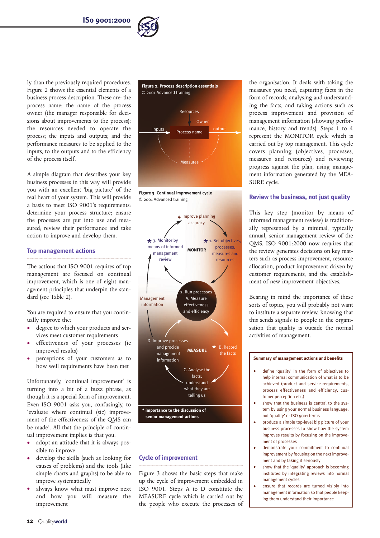

ly than the previously required procedures. Figure 2 shows the essential elements of a business process description. These are: the process name; the name of the process owner (the manager responsible for decisions about improvements to the process); the resources needed to operate the process; the inputs and outputs; and the performance measures to be applied to the inputs, to the outputs and to the efficiency of the process itself.

A simple diagram that describes your key business processes in this way will provide you with an excellent 'big picture' of the real heart of your system. This will provide a basis to meet ISO 9001's requirements: determine your process structure; ensure the processes are put into use and measured; review their performance and take action to improve and develop them.

## **Top management actions**

The actions that ISO 9001 requires of top management are focused on continual improvement, which is one of eight management principles that underpin the standard (see Table 2).

You are required to ensure that you continually improve the:

- **•** degree to which your products and services meet customer requirements
- **•** effectiveness of your processes (ie improved results)
- **•** perceptions of your customers as to how well requirements have been met

Unfortunately, 'continual improvement' is turning into a bit of a buzz phrase, as though it is a special form of improvement. Even ISO 9001 asks you, confusingly, to 'evaluate where continual (sic) improvement of the effectiveness of the QMS can be made'. All that the principle of continual improvement implies is that you:

- **•** adopt an attitude that it is always possible to improve
- **•** develop the skills (such as looking for causes of problems) and the tools (like simple charts and graphs) to be able to improve systematically
- **•** always know what must improve next and how you will measure the improvement



**Figure 3. Continual improvement cycle** © 2001 Advanced training



# **Cycle of improvement**

Figure 3 shows the basic steps that make up the cycle of improvement embedded in ISO 9001. Steps A to D constitute the MEASURE cycle which is carried out by the people who execute the processes of the organisation. It deals with taking the measures you need, capturing facts in the form of records, analysing and understanding the facts, and taking actions such as process improvement and provision of management information (showing performance, history and trends). Steps 1 to 4 represent the MONITOR cycle which is carried out by top management. This cycle covers planning (objectives, processes, measures and resources) and reviewing progress against the plan, using management information generated by the MEA-SURE cycle.

## **Review the business, not just quality**

This key step (monitor by means of informed management review) is traditionally represented by a minimal, typically annual, senior management review of the QMS. ISO 9001:2000 now requires that the review generates decisions on key matters such as process improvement, resource allocation, product improvement driven by customer requirements, and the establishment of new improvement objectives.

Bearing in mind the importance of these sorts of topics, you will probably not want to institute a separate review, knowing that this sends signals to people in the organisation that quality is outside the normal activities of management.

#### **Summary of management actions and benefits**

- **•** define 'quality' in the form of objectives to help internal communication of what is to be achieved (product and service requirements, process effectiveness and efficiency, customer perception etc.)
- **•** show that the business is central to the system by using your normal business language, not 'quality' or ISO 9001 terms
- **•** produce a simple top-level big picture of your business processes to show how the system improves results by focusing on the improvement of processes
- **•** demonstrate your commitment to continual improvement by focusing on the next improvement and by taking it seriously
- **•** show that the 'quality' approach is becoming instituted by integrating reviews into normal management cycles
- **•** ensure that records are turned visibly into management information so that people keeping them understand their importance